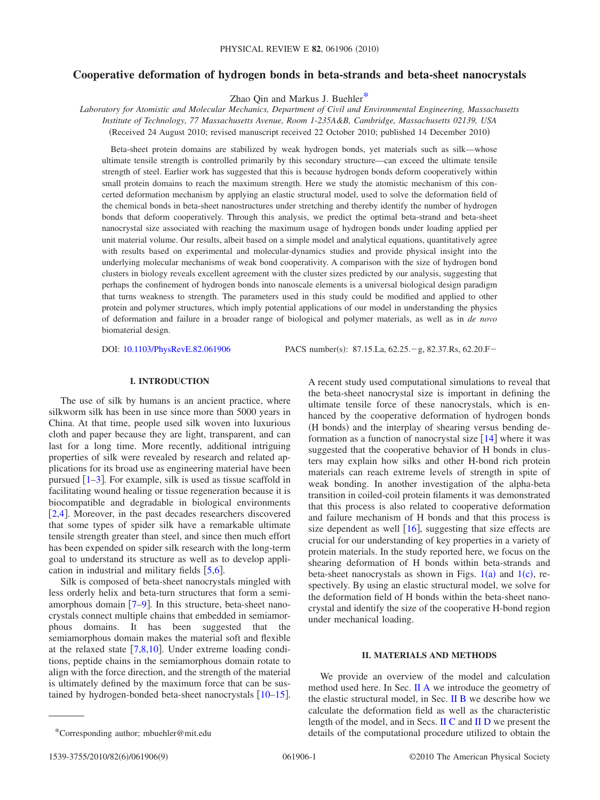# **Cooperative deformation of hydrogen bonds in beta-strands and beta-sheet nanocrystals**

Zhao Oin and Markus J. Buehler<sup>\*</sup>

*Laboratory for Atomistic and Molecular Mechanics, Department of Civil and Environmental Engineering, Massachusetts Institute of Technology, 77 Massachusetts Avenue, Room 1-235A&B, Cambridge, Massachusetts 02139, USA* Received 24 August 2010; revised manuscript received 22 October 2010; published 14 December 2010-

Beta-sheet protein domains are stabilized by weak hydrogen bonds, yet materials such as silk—whose ultimate tensile strength is controlled primarily by this secondary structure—can exceed the ultimate tensile strength of steel. Earlier work has suggested that this is because hydrogen bonds deform cooperatively within small protein domains to reach the maximum strength. Here we study the atomistic mechanism of this concerted deformation mechanism by applying an elastic structural model, used to solve the deformation field of the chemical bonds in beta-sheet nanostructures under stretching and thereby identify the number of hydrogen bonds that deform cooperatively. Through this analysis, we predict the optimal beta-strand and beta-sheet nanocrystal size associated with reaching the maximum usage of hydrogen bonds under loading applied per unit material volume. Our results, albeit based on a simple model and analytical equations, quantitatively agree with results based on experimental and molecular-dynamics studies and provide physical insight into the underlying molecular mechanisms of weak bond cooperativity. A comparison with the size of hydrogen bond clusters in biology reveals excellent agreement with the cluster sizes predicted by our analysis, suggesting that perhaps the confinement of hydrogen bonds into nanoscale elements is a universal biological design paradigm that turns weakness to strength. The parameters used in this study could be modified and applied to other protein and polymer structures, which imply potential applications of our model in understanding the physics of deformation and failure in a broader range of biological and polymer materials, as well as in *de novo* biomaterial design.

DOI: [10.1103/PhysRevE.82.061906](http://dx.doi.org/10.1103/PhysRevE.82.061906)

PACS number(s): 87.15.La, 62.25. - g, 82.37.Rs, 62.20.F -

## **I. INTRODUCTION**

The use of silk by humans is an ancient practice, where silkworm silk has been in use since more than 5000 years in China. At that time, people used silk woven into luxurious cloth and paper because they are light, transparent, and can last for a long time. More recently, additional intriguing properties of silk were revealed by research and related applications for its broad use as engineering material have been pursued  $\left[1-3\right]$  $\left[1-3\right]$  $\left[1-3\right]$ . For example, silk is used as tissue scaffold in facilitating wound healing or tissue regeneration because it is biocompatible and degradable in biological environments [[2](#page-7-2)[,4](#page-7-3)]. Moreover, in the past decades researchers discovered that some types of spider silk have a remarkable ultimate tensile strength greater than steel, and since then much effort has been expended on spider silk research with the long-term goal to understand its structure as well as to develop application in industrial and military fields  $[5,6]$  $[5,6]$  $[5,6]$  $[5,6]$ .

Silk is composed of beta-sheet nanocrystals mingled with less orderly helix and beta-turn structures that form a semiamorphous domain  $[7-9]$  $[7-9]$  $[7-9]$ . In this structure, beta-sheet nanocrystals connect multiple chains that embedded in semiamorphous domains. It has been suggested that the semiamorphous domain makes the material soft and flexible at the relaxed state  $\left[7,8,10\right]$  $\left[7,8,10\right]$  $\left[7,8,10\right]$  $\left[7,8,10\right]$  $\left[7,8,10\right]$ . Under extreme loading conditions, peptide chains in the semiamorphous domain rotate to align with the force direction, and the strength of the material is ultimately defined by the maximum force that can be sustained by hydrogen-bonded beta-sheet nanocrystals  $[10-15]$  $[10-15]$  $[10-15]$ . A recent study used computational simulations to reveal that the beta-sheet nanocrystal size is important in defining the ultimate tensile force of these nanocrystals, which is enhanced by the cooperative deformation of hydrogen bonds (H bonds) and the interplay of shearing versus bending deformation as a function of nanocrystal size  $[14]$  $[14]$  $[14]$  where it was suggested that the cooperative behavior of H bonds in clusters may explain how silks and other H-bond rich protein materials can reach extreme levels of strength in spite of weak bonding. In another investigation of the alpha-beta transition in coiled-coil protein filaments it was demonstrated that this process is also related to cooperative deformation and failure mechanism of H bonds and that this process is size dependent as well  $[16]$  $[16]$  $[16]$ , suggesting that size effects are crucial for our understanding of key properties in a variety of protein materials. In the study reported here, we focus on the shearing deformation of H bonds within beta-strands and beta-sheet nanocrystals as shown in Figs.  $1(a)$  $1(a)$  and  $1(c)$ , respectively. By using an elastic structural model, we solve for the deformation field of H bonds within the beta-sheet nanocrystal and identify the size of the cooperative H-bond region under mechanical loading.

#### <span id="page-0-1"></span>**II. MATERIALS AND METHODS**

We provide an overview of the model and calculation method used here. In Sec. [II A](#page-1-1) we introduce the geometry of the elastic structural model, in Sec.  $\overline{I}$  B we describe how we calculate the deformation field as well as the characteristic length of the model, and in Secs. [II C](#page-3-0) and [II D](#page-3-1) we present the \*Corresponding author; mbuehler@mit.edu details of the computational procedure utilized to obtain the

<span id="page-0-0"></span>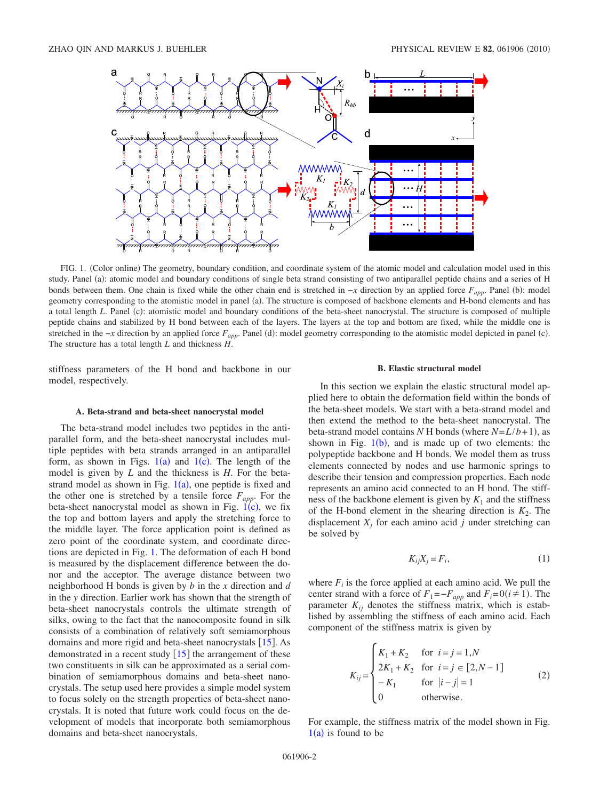<span id="page-1-0"></span>

FIG. 1. (Color online) The geometry, boundary condition, and coordinate system of the atomic model and calculation model used in this study. Panel (a): atomic model and boundary conditions of single beta strand consisting of two antiparallel peptide chains and a series of H bonds between them. One chain is fixed while the other chain end is stretched in  $-x$  direction by an applied force  $F_{app}$ . Panel (b): model geometry corresponding to the atomistic model in panel (a). The structure is composed of backbone elements and H-bond elements and has a total length *L*. Panel (c): atomistic model and boundary conditions of the beta-sheet nanocrystal. The structure is composed of multiple peptide chains and stabilized by H bond between each of the layers. The layers at the top and bottom are fixed, while the middle one is stretched in the  $-x$  direction by an applied force  $F_{app}$ . Panel (d): model geometry corresponding to the atomistic model depicted in panel (c). The structure has a total length *L* and thickness *H*.

stiffness parameters of the H bond and backbone in our model, respectively.

#### **A. Beta-strand and beta-sheet nanocrystal model**

<span id="page-1-1"></span>The beta-strand model includes two peptides in the antiparallel form, and the beta-sheet nanocrystal includes multiple peptides with beta strands arranged in an antiparallel form, as shown in Figs.  $1(a)$  $1(a)$  and  $1(c)$ . The length of the model is given by *L* and the thickness is *H*. For the betastrand model as shown in Fig.  $1(a)$  $1(a)$ , one peptide is fixed and the other one is stretched by a tensile force  $F_{app}$ . For the beta-sheet nanocrystal model as shown in Fig.  $\hat{I}(c)$ , we fix the top and bottom layers and apply the stretching force to the middle layer. The force application point is defined as zero point of the coordinate system, and coordinate directions are depicted in Fig. [1.](#page-1-0) The deformation of each H bond is measured by the displacement difference between the donor and the acceptor. The average distance between two neighborhood H bonds is given by *b* in the *x* direction and *d* in the *y* direction. Earlier work has shown that the strength of beta-sheet nanocrystals controls the ultimate strength of silks, owing to the fact that the nanocomposite found in silk consists of a combination of relatively soft semiamorphous domains and more rigid and beta-sheet nanocrystals  $[15]$  $[15]$  $[15]$ . As demonstrated in a recent study  $[15]$  $[15]$  $[15]$  the arrangement of these two constituents in silk can be approximated as a serial combination of semiamorphous domains and beta-sheet nanocrystals. The setup used here provides a simple model system to focus solely on the strength properties of beta-sheet nanocrystals. It is noted that future work could focus on the development of models that incorporate both semiamorphous domains and beta-sheet nanocrystals.

## **B. Elastic structural model**

<span id="page-1-2"></span>In this section we explain the elastic structural model applied here to obtain the deformation field within the bonds of the beta-sheet models. We start with a beta-strand model and then extend the method to the beta-sheet nanocrystal. The beta-strand model contains *N* H bonds (where  $N=L/b+1$ ), as shown in Fig.  $1(b)$  $1(b)$ , and is made up of two elements: the polypeptide backbone and H bonds. We model them as truss elements connected by nodes and use harmonic springs to describe their tension and compression properties. Each node represents an amino acid connected to an H bond. The stiffness of the backbone element is given by  $K_1$  and the stiffness of the H-bond element in the shearing direction is  $K_2$ . The displacement  $X_i$  for each amino acid  $j$  under stretching can be solved by

$$
K_{ij}X_j = F_i,\tag{1}
$$

<span id="page-1-3"></span>where  $F_i$  is the force applied at each amino acid. We pull the center strand with a force of  $F_1 = -F_{app}$  and  $F_i = 0$  ( $i \neq 1$ ). The parameter  $K_{ij}$  denotes the stiffness matrix, which is established by assembling the stiffness of each amino acid. Each component of the stiffness matrix is given by

<span id="page-1-4"></span>
$$
K_{ij} = \begin{cases} K_1 + K_2 & \text{for } i = j = 1, N \\ 2K_1 + K_2 & \text{for } i = j \in [2, N - 1] \\ -K_1 & \text{for } |i - j| = 1 \\ 0 & \text{otherwise.} \end{cases}
$$
 (2)

For example, the stiffness matrix of the model shown in Fig.  $1(a)$  $1(a)$  is found to be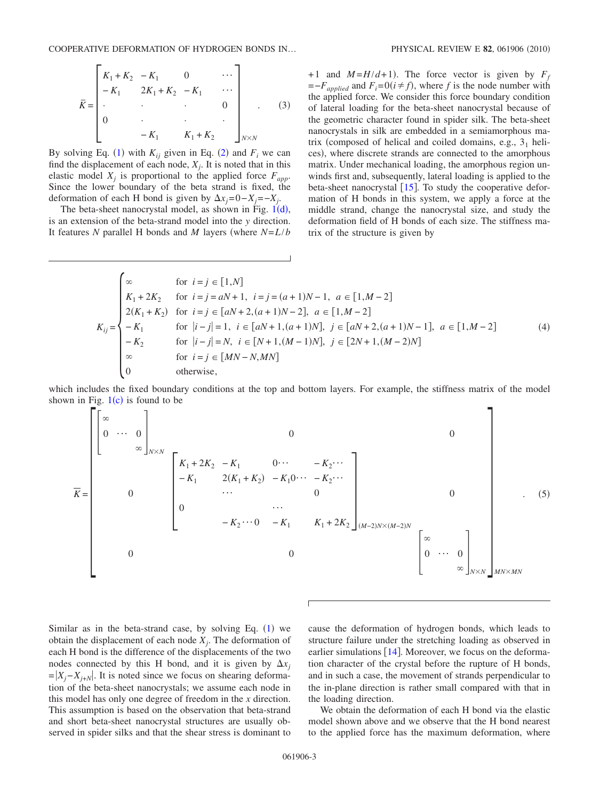$$
\overline{K} = \begin{bmatrix} K_1 + K_2 & -K_1 & 0 & \cdots \\ -K_1 & 2K_1 + K_2 & -K_1 & \cdots \\ \cdot & \cdot & \cdot & 0 \\ 0 & \cdot & \cdot & \cdot \\ -K_1 & K_1 + K_2 & \cdot \\ \end{bmatrix}_{N \times N}
$$
(3)

By solving Eq. ([1](#page-1-3)) with  $K_{ij}$  given in Eq. ([2](#page-1-4)) and  $F_i$  we can find the displacement of each node,  $X_i$ . It is noted that in this elastic model  $X_i$  is proportional to the applied force  $F_{app}$ . Since the lower boundary of the beta strand is fixed, the deformation of each H bond is given by  $\Delta x_i = 0 - X_i = -X_i$ .

The beta-sheet nanocrystal model, as shown in Fig.  $1(d)$  $1(d)$ , is an extension of the beta-strand model into the *y* direction. It features *N* parallel H bonds and *M* layers (where  $N=L/b$ 

 $+1$  and  $M=H/d+1$ ). The force vector is given by  $F_j$  $=-F_{\text{applied}}$  and  $F_i=0$  *i*  $\neq$  *f*), where *f* is the node number with the applied force. We consider this force boundary condition of lateral loading for the beta-sheet nanocrystal because of the geometric character found in spider silk. The beta-sheet nanocrystals in silk are embedded in a semiamorphous matrix (composed of helical and coiled domains, e.g.,  $3<sub>1</sub>$  helices), where discrete strands are connected to the amorphous matrix. Under mechanical loading, the amorphous region unwinds first and, subsequently, lateral loading is applied to the beta-sheet nanocrystal  $[15]$  $[15]$  $[15]$ . To study the cooperative deformation of H bonds in this system, we apply a force at the middle strand, change the nanocrystal size, and study the

deformation field of H bonds of each size. The stiffness ma-

trix of the structure is given by

$$
K_{ij} = \begin{cases}\n\infty & \text{for } i = j \in [1, N] \\
K_1 + 2K_2 & \text{for } i = j = aN + 1, \ i = j = (a + 1)N - 1, \ a \in [1, M - 2] \\
2(K_1 + K_2) & \text{for } i = j \in [aN + 2, (a + 1)N - 2], \ a \in [1, M - 2] \\
-K_1 & \text{for } |i - j| = 1, \ i \in [aN + 1, (a + 1)N], \ j \in [aN + 2, (a + 1)N - 1], \ a \in [1, M - 2] \\
-K_2 & \text{for } |i - j| = N, \ i \in [N + 1, (M - 1)N], \ j \in [2N + 1, (M - 2)N] \\
\infty & \text{for } i = j \in [MN - N, MN] \\
0 & \text{otherwise,}\n\end{cases}
$$
\n(4)

which includes the fixed boundary conditions at the top and bottom layers. For example, the stiffness matrix of the model shown in Fig.  $1(c)$  $1(c)$  is found to be ۳

*K* = 0 ¯ 0 *N*-*N* 0 0 0 *K*<sup>1</sup> + 2*K*<sup>2</sup> − *K*<sup>1</sup> 0¯ − *K*2¯ − *K*<sup>1</sup> 2*K*<sup>1</sup> + *K*2- − *K*10¯ − *K*2¯ ¯ 0 0 ¯ − *K*<sup>2</sup> ¯ 0 − *K*<sup>1</sup> *K*<sup>1</sup> + 2*K*<sup>2</sup> *M*−2-*N*-*M*−2-*N* 0 0 0 0 ¯ 0 *N*-*N MN*-*MN* . 5-

Similar as in the beta-strand case, by solving Eq.  $(1)$  $(1)$  $(1)$  we obtain the displacement of each node  $X_i$ . The deformation of each H bond is the difference of the displacements of the two nodes connected by this H bond, and it is given by  $\Delta x_i$ =*Xj*−*Xj*+*N*. It is noted since we focus on shearing deformation of the beta-sheet nanocrystals; we assume each node in this model has only one degree of freedom in the *x* direction. This assumption is based on the observation that beta-strand and short beta-sheet nanocrystal structures are usually observed in spider silks and that the shear stress is dominant to cause the deformation of hydrogen bonds, which leads to structure failure under the stretching loading as observed in earlier simulations  $[14]$  $[14]$  $[14]$ . Moreover, we focus on the deformation character of the crystal before the rupture of H bonds, and in such a case, the movement of strands perpendicular to the in-plane direction is rather small compared with that in the loading direction.

We obtain the deformation of each H bond via the elastic model shown above and we observe that the H bond nearest to the applied force has the maximum deformation, where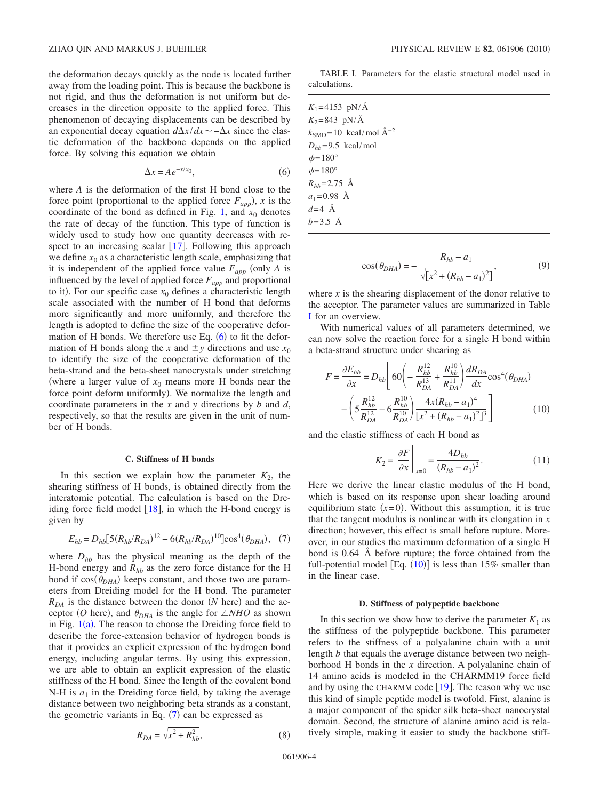the deformation decays quickly as the node is located further away from the loading point. This is because the backbone is not rigid, and thus the deformation is not uniform but decreases in the direction opposite to the applied force. This phenomenon of decaying displacements can be described by an exponential decay equation  $d\Delta x/dx \sim -\Delta x$  since the elastic deformation of the backbone depends on the applied force. By solving this equation we obtain

$$
\Delta x = A e^{-x/x_0},\tag{6}
$$

<span id="page-3-2"></span>where *A* is the deformation of the first H bond close to the force point (proportional to the applied force  $F_{app}$ ), *x* is the coordinate of the bond as defined in Fig. [1,](#page-1-0) and  $x_0$  denotes the rate of decay of the function. This type of function is widely used to study how one quantity decreases with respect to an increasing scalar  $[17]$  $[17]$  $[17]$ . Following this approach we define  $x_0$  as a characteristic length scale, emphasizing that it is independent of the applied force value  $F_{app}$  (only A is influenced by the level of applied force  $F_{app}$  and proportional to it). For our specific case  $x_0$  defines a characteristic length scale associated with the number of H bond that deforms more significantly and more uniformly, and therefore the length is adopted to define the size of the cooperative deformation of H bonds. We therefore use Eq.  $(6)$  $(6)$  $(6)$  to fit the deformation of H bonds along the *x* and  $\pm y$  directions and use  $x_0$ to identify the size of the cooperative deformation of the beta-strand and the beta-sheet nanocrystals under stretching (where a larger value of  $x_0$  means more H bonds near the force point deform uniformly). We normalize the length and coordinate parameters in the *x* and *y* directions by *b* and *d*, respectively, so that the results are given in the unit of number of H bonds.

#### **C. Stiffness of H bonds**

<span id="page-3-0"></span>In this section we explain how the parameter  $K_2$ , the shearing stiffness of H bonds, is obtained directly from the interatomic potential. The calculation is based on the Dreiding force field model  $\lceil 18 \rceil$  $\lceil 18 \rceil$  $\lceil 18 \rceil$ , in which the H-bond energy is given by

<span id="page-3-3"></span>
$$
E_{hb} = D_{hb} [5(R_{hb}/R_{DA})^{12} - 6(R_{hb}/R_{DA})^{10}] \cos^4(\theta_{DHA}), \quad (7)
$$

where  $D_{hb}$  has the physical meaning as the depth of the H-bond energy and  $R_{hb}$  as the zero force distance for the H bond if  $cos(\theta_{DHA})$  keeps constant, and those two are parameters from Dreiding model for the H bond. The parameter  $R_{DA}$  is the distance between the donor *(N* here) and the acceptor (O here), and  $\theta_{DHA}$  is the angle for  $\angle NHO$  as shown in Fig.  $1(a)$  $1(a)$ . The reason to choose the Dreiding force field to describe the force-extension behavior of hydrogen bonds is that it provides an explicit expression of the hydrogen bond energy, including angular terms. By using this expression, we are able to obtain an explicit expression of the elastic stiffness of the H bond. Since the length of the covalent bond N-H is  $a_1$  in the Dreiding force field, by taking the average distance between two neighboring beta strands as a constant, the geometric variants in Eq.  $(7)$  $(7)$  $(7)$  can be expressed as

$$
R_{DA} = \sqrt{x^2 + R_{hb}^2},
$$
 (8)

<span id="page-3-4"></span>TABLE I. Parameters for the elastic structural model used in calculations.

| $K_1 = 4153$ pN/Å                                     |
|-------------------------------------------------------|
| $K_2 = 843$ pN/Å                                      |
| $k_{\text{SMD}} = 10 \text{ kcal/mol} \text{ Å}^{-2}$ |
| $D_{hh}$ =9.5 kcal/mol                                |
| $\phi$ =180°                                          |
| $\psi = 180^{\circ}$                                  |
| $R_{hh} = 2.75 \text{ Å}$                             |
| $a_1 = 0.98$ Å                                        |
| $d=4$ Å                                               |
| $b=3.5$ Å                                             |

$$
\cos(\theta_{DHA}) = -\frac{R_{hb} - a_1}{\sqrt{[x^2 + (R_{hb} - a_1)^2]}},\tag{9}
$$

where  $x$  is the shearing displacement of the donor relative to the acceptor. The parameter values are summarized in Table [I](#page-3-4) for an overview.

With numerical values of all parameters determined, we can now solve the reaction force for a single H bond within a beta-strand structure under shearing as

<span id="page-3-5"></span>
$$
F = \frac{\partial E_{hb}}{\partial x} = D_{hb} \left[ 60 \left( -\frac{R_{hb}^{12}}{R_{DA}^{13}} + \frac{R_{hb}^{10}}{R_{DA}^{11}} \right) \frac{dR_{DA}}{dx} \cos^4(\theta_{DHA}) - \left( 5 \frac{R_{hb}^{10}}{R_{DA}^{12}} - 6 \frac{R_{hb}^{10}}{R_{DA}^{10}} \right) \frac{4x(R_{hb} - a_1)^4}{[x^2 + (R_{hb} - a_1)^2]^3} \right]
$$
(10)

and the elastic stiffness of each H bond as

$$
K_2 = \left. \frac{\partial F}{\partial x} \right|_{x=0} = \frac{4D_{hb}}{(R_{hb} - a_1)^2}.
$$
 (11)

Here we derive the linear elastic modulus of the H bond, which is based on its response upon shear loading around equilibrium state  $(x=0)$ . Without this assumption, it is true that the tangent modulus is nonlinear with its elongation in *x* direction; however, this effect is small before rupture. Moreover, in our studies the maximum deformation of a single H bond is 0.64 Å before rupture; the force obtained from the full-potential model  $[Eq. (10)]$  $[Eq. (10)]$  $[Eq. (10)]$  is less than 15% smaller than in the linear case.

### **D. Stiffness of polypeptide backbone**

<span id="page-3-1"></span>In this section we show how to derive the parameter  $K_1$  as the stiffness of the polypeptide backbone. This parameter refers to the stiffness of a polyalanine chain with a unit length *b* that equals the average distance between two neighborhood H bonds in the *x* direction. A polyalanine chain of 14 amino acids is modeled in the CHARMM19 force field and by using the CHARMM code  $[19]$  $[19]$  $[19]$ . The reason why we use this kind of simple peptide model is twofold. First, alanine is a major component of the spider silk beta-sheet nanocrystal domain. Second, the structure of alanine amino acid is relatively simple, making it easier to study the backbone stiff-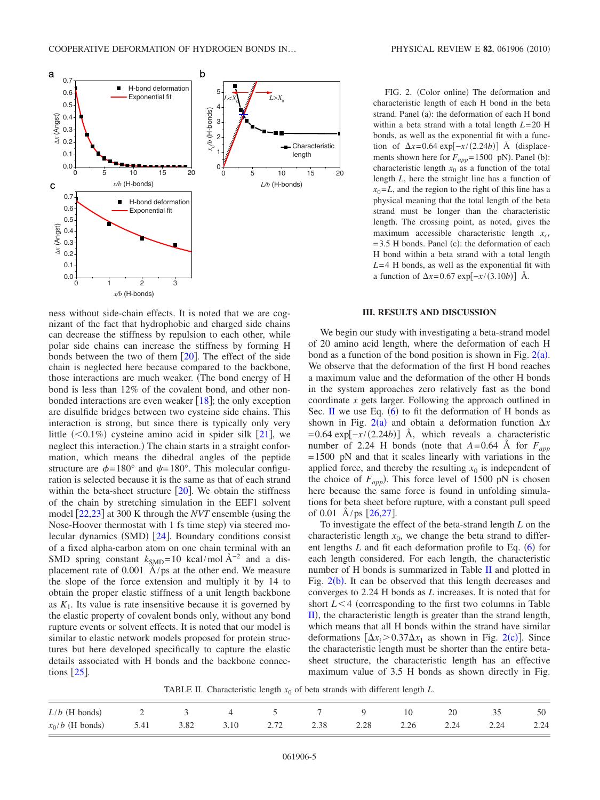<span id="page-4-0"></span>

ness without side-chain effects. It is noted that we are cognizant of the fact that hydrophobic and charged side chains can decrease the stiffness by repulsion to each other, while polar side chains can increase the stiffness by forming H bonds between the two of them  $[20]$  $[20]$  $[20]$ . The effect of the side chain is neglected here because compared to the backbone, those interactions are much weaker. The bond energy of H bond is less than 12% of the covalent bond, and other nonbonded interactions are even weaker  $[18]$  $[18]$  $[18]$ ; the only exception are disulfide bridges between two cysteine side chains. This interaction is strong, but since there is typically only very little  $(<0.1\%)$  cysteine amino acid in spider silk [[21](#page-8-7)], we neglect this interaction.) The chain starts in a straight conformation, which means the dihedral angles of the peptide structure are  $\phi = 180^\circ$  and  $\psi = 180^\circ$ . This molecular configuration is selected because it is the same as that of each strand within the beta-sheet structure  $[20]$  $[20]$  $[20]$ . We obtain the stiffness of the chain by stretching simulation in the EEF1 solvent model  $[22,23]$  $[22,23]$  $[22,23]$  $[22,23]$  at 300 K through the *NVT* ensemble (using the Nose-Hoover thermostat with 1 fs time step) via steered mo-lecular dynamics (SMD) [[24](#page-8-10)]. Boundary conditions consist of a fixed alpha-carbon atom on one chain terminal with an SMD spring constant  $k_{\text{SMD}}=10$  kcal/mol Å<sup>-2</sup> and a displacement rate of  $0.001$  Å/ps at the other end. We measure the slope of the force extension and multiply it by 14 to obtain the proper elastic stiffness of a unit length backbone as  $K_1$ . Its value is rate insensitive because it is governed by the elastic property of covalent bonds only, without any bond rupture events or solvent effects. It is noted that our model is similar to elastic network models proposed for protein structures but here developed specifically to capture the elastic details associated with H bonds and the backbone connections  $[25]$  $[25]$  $[25]$ .

FIG. 2. (Color online) The deformation and characteristic length of each H bond in the beta strand. Panel (a): the deformation of each H bond within a beta strand with a total length *L*=20 H bonds, as well as the exponential fit with a function of  $\Delta x = 0.64 \exp[-x/(2.24b)]$  Å (displacements shown here for  $F_{app}$  = 1500 pN). Panel (b): characteristic length  $x_0$  as a function of the total length *L*, here the straight line has a function of  $x_0 = L$ , and the region to the right of this line has a physical meaning that the total length of the beta strand must be longer than the characteristic length. The crossing point, as noted, gives the maximum accessible characteristic length  $x_{cr}$  $=3.5$  H bonds. Panel (c): the deformation of each H bond within a beta strand with a total length *L*=4 H bonds, as well as the exponential fit with a function of  $\Delta x = 0.67 \exp[-x/(3.10b)]$  Å.

#### **III. RESULTS AND DISCUSSION**

We begin our study with investigating a beta-strand model of 20 amino acid length, where the deformation of each H bond as a function of the bond position is shown in Fig.  $2(a)$  $2(a)$ . We observe that the deformation of the first H bond reaches a maximum value and the deformation of the other H bonds in the system approaches zero relatively fast as the bond coordinate *x* gets larger. Following the approach outlined in Sec. [II](#page-0-1) we use Eq.  $(6)$  $(6)$  $(6)$  to fit the deformation of H bonds as shown in Fig.  $2(a)$  $2(a)$  and obtain a deformation function  $\Delta x$ =0.64 exp−*x*/2.24*b*- Å, which reveals a characteristic number of 2.24 H bonds (note that  $A=0.64$  Å for  $F_{app}$ =1500 pN and that it scales linearly with variations in the applied force, and thereby the resulting  $x<sub>0</sub>$  is independent of the choice of  $F_{app}$ ). This force level of 1500 pN is chosen here because the same force is found in unfolding simulations for beta sheet before rupture, with a constant pull speed of 0.01  $\AA$ /ps [[26](#page-8-12)[,27](#page-8-13)].

To investigate the effect of the beta-strand length *L* on the characteristic length  $x_0$ , we change the beta strand to different lengths  $L$  and fit each deformation profile to Eq.  $(6)$  $(6)$  $(6)$  for each length considered. For each length, the characteristic number of H bonds is summarized in Table [II](#page-4-1) and plotted in Fig.  $2(b)$  $2(b)$ . It can be observed that this length decreases and converges to 2.24 H bonds as *L* increases. It is noted that for short  $L < 4$  (corresponding to the first two columns in Table [II](#page-4-1)), the characteristic length is greater than the strand length, which means that all H bonds within the strand have similar deformations  $[\Delta x_i > 0.37 \Delta x_1$  as shown in Fig. [2](#page-4-0)(c)]. Since the characteristic length must be shorter than the entire betasheet structure, the characteristic length has an effective maximum value of 3.5 H bonds as shown directly in Fig.

TABLE II. Characteristic length  $x_0$  of beta strands with different length  $L$ .

<span id="page-4-1"></span>

| $L/b$ (H bonds) 2      | 3 4 5 7 |      |      |      |      |      | 20   |      | 50   |
|------------------------|---------|------|------|------|------|------|------|------|------|
| $x_0/b$ (H bonds) 5.41 | 3.82    | 3.10 | 2.72 | 2.38 | 2.28 | 2.26 | 2.24 | 2.24 | 2.24 |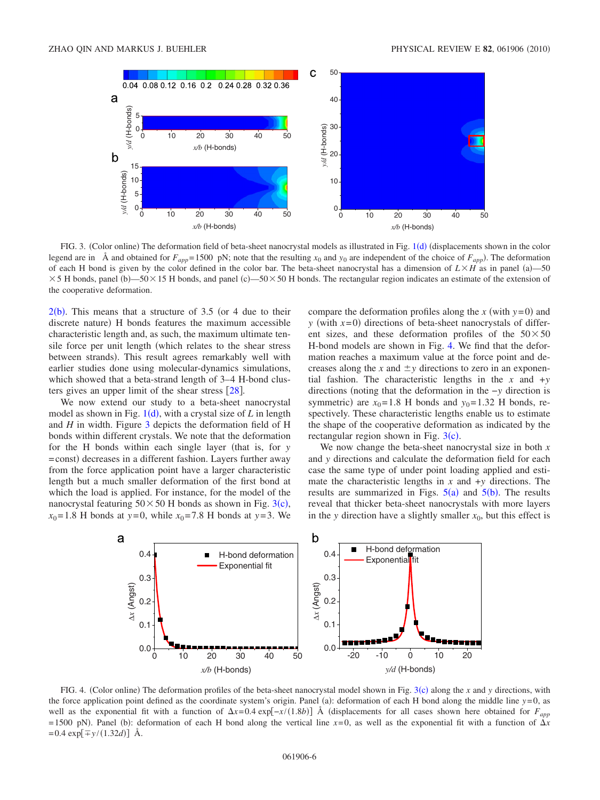<span id="page-5-0"></span>

FIG. 3. (Color online) The deformation field of beta-sheet nanocrystal models as illustrated in Fig. [1](#page-1-0)(d) (displacements shown in the color legend are in  $\AA$  and obtained for  $F_{app}$ =1500 pN; note that the resulting  $x_0$  and  $y_0$  are independent of the choice of  $F_{app}$ ). The deformation of each H bond is given by the color defined in the color bar. The beta-sheet nanocrystal has a dimension of  $L \times H$  as in panel (a)—50  $\times$  5 H bonds, panel (b)—50 $\times$  15 H bonds, and panel (c)—50 $\times$  50 H bonds. The rectangular region indicates an estimate of the extension of the cooperative deformation.

 $2(b)$  $2(b)$ . This means that a structure of 3.5 (or 4 due to their discrete nature) H bonds features the maximum accessible characteristic length and, as such, the maximum ultimate tensile force per unit length (which relates to the shear stress between strands). This result agrees remarkably well with earlier studies done using molecular-dynamics simulations, which showed that a beta-strand length of 3–4 H-bond clusters gives an upper limit of the shear stress  $[28]$  $[28]$  $[28]$ .

We now extend our study to a beta-sheet nanocrystal model as shown in Fig.  $1(d)$  $1(d)$ , with a crystal size of *L* in length and *H* in width. Figure [3](#page-5-0) depicts the deformation field of H bonds within different crystals. We note that the deformation for the H bonds within each single layer that is, for *y* =const) decreases in a different fashion. Layers further away from the force application point have a larger characteristic length but a much smaller deformation of the first bond at which the load is applied. For instance, for the model of the nanocrystal featuring  $50 \times 50$  H bonds as shown in Fig. [3](#page-5-0)(c),  $x_0 = 1.8$  H bonds at *y*=0, while  $x_0 = 7.8$  H bonds at *y*=3. We

compare the deformation profiles along the *x* (with  $y=0$ ) and *y* (with  $x=0$ ) directions of beta-sheet nanocrystals of different sizes, and these deformation profiles of the  $50 \times 50$ H-bond models are shown in Fig. [4.](#page-5-1) We find that the deformation reaches a maximum value at the force point and decreases along the *x* and  $\pm y$  directions to zero in an exponential fashion. The characteristic lengths in the *x* and +*y* directions (noting that the deformation in the −*y* direction is symmetric) are  $x_0$ =1.8 H bonds and  $y_0$ =1.32 H bonds, respectively. These characteristic lengths enable us to estimate the shape of the cooperative deformation as indicated by the rectangular region shown in Fig.  $3(c)$  $3(c)$ .

We now change the beta-sheet nanocrystal size in both *x* and *y* directions and calculate the deformation field for each case the same type of under point loading applied and estimate the characteristic lengths in *x* and +*y* directions. The results are summarized in Figs.  $5(a)$  $5(a)$  and  $5(b)$ . The results reveal that thicker beta-sheet nanocrystals with more layers in the *y* direction have a slightly smaller  $x_0$ , but this effect is

<span id="page-5-1"></span>

FIG. 4. (Color online) The deformation profiles of the beta-sheet nanocrystal model shown in Fig. [3](#page-5-0)(c) along the *x* and *y* directions, with the force application point defined as the coordinate system's origin. Panel (a): deformation of each H bond along the middle line  $y=0$ , as well as the exponential fit with a function of  $\Delta x = 0.4 \exp[-x/(1.8b)]$  Å (displacements for all cases shown here obtained for  $F_{app}$ =1500 pN). Panel (b): deformation of each H bond along the vertical line  $x=0$ , as well as the exponential fit with a function of  $\Delta x$  $=0.4 \exp[\pm y/(1.32d)]$  Å.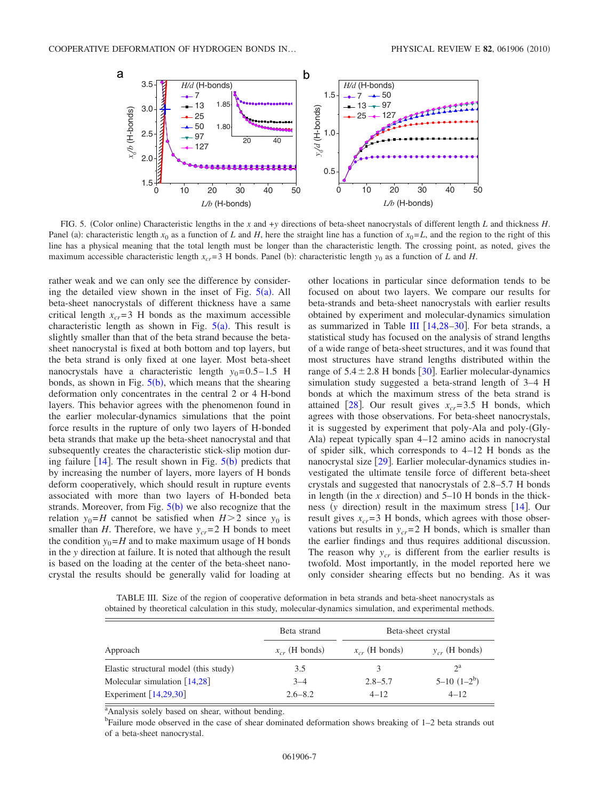<span id="page-6-0"></span>

FIG. 5. (Color online) Characteristic lengths in the *x* and +*y* directions of beta-sheet nanocrystals of different length *L* and thickness *H*. Panel (a): characteristic length  $x_0$  as a function of *L* and *H*, here the straight line has a function of  $x_0 = L$ , and the region to the right of this line has a physical meaning that the total length must be longer than the characteristic length. The crossing point, as noted, gives the maximum accessible characteristic length  $x_{cr}$  = 3 H bonds. Panel (b): characteristic length  $y_0$  as a function of *L* and *H*.

rather weak and we can only see the difference by considering the detailed view shown in the inset of Fig.  $5(a)$  $5(a)$ . All beta-sheet nanocrystals of different thickness have a same critical length  $x_{cr}$ =3 H bonds as the maximum accessible characteristic length as shown in Fig.  $5(a)$  $5(a)$ . This result is slightly smaller than that of the beta strand because the betasheet nanocrystal is fixed at both bottom and top layers, but the beta strand is only fixed at one layer. Most beta-sheet nanocrystals have a characteristic length  $y_0=0.5-1.5$  H bonds, as shown in Fig.  $5(b)$  $5(b)$ , which means that the shearing deformation only concentrates in the central 2 or 4 H-bond layers. This behavior agrees with the phenomenon found in the earlier molecular-dynamics simulations that the point force results in the rupture of only two layers of H-bonded beta strands that make up the beta-sheet nanocrystal and that subsequently creates the characteristic stick-slip motion during failure  $[14]$  $[14]$  $[14]$ . The result shown in Fig.  $5(b)$  $5(b)$  predicts that by increasing the number of layers, more layers of H bonds deform cooperatively, which should result in rupture events associated with more than two layers of H-bonded beta strands. Moreover, from Fig.  $5(b)$  $5(b)$  we also recognize that the relation  $y_0 = H$  cannot be satisfied when  $H > 2$  since  $y_0$  is smaller than *H*. Therefore, we have  $y_{cr}$  = 2 H bonds to meet the condition  $y_0 = H$  and to make maximum usage of H bonds in the *y* direction at failure. It is noted that although the result is based on the loading at the center of the beta-sheet nanocrystal the results should be generally valid for loading at other locations in particular since deformation tends to be focused on about two layers. We compare our results for beta-strands and beta-sheet nanocrystals with earlier results obtained by experiment and molecular-dynamics simulation as summarized in Table [III](#page-6-1)  $[14,28-30]$  $[14,28-30]$  $[14,28-30]$  $[14,28-30]$ . For beta strands, a statistical study has focused on the analysis of strand lengths of a wide range of beta-sheet structures, and it was found that most structures have strand lengths distributed within the range of  $5.4 \pm 2.8$  H bonds [[30](#page-8-15)]. Earlier molecular-dynamics simulation study suggested a beta-strand length of 3–4 H bonds at which the maximum stress of the beta strand is attained [[28](#page-8-14)]. Our result gives  $x_{cr} = 3.5$  H bonds, which agrees with those observations. For beta-sheet nanocrystals, it is suggested by experiment that poly-Ala and poly-Gly-Ala) repeat typically span 4-12 amino acids in nanocrystal of spider silk, which corresponds to 4–12 H bonds as the nanocrystal size  $\lceil 29 \rceil$  $\lceil 29 \rceil$  $\lceil 29 \rceil$ . Earlier molecular-dynamics studies investigated the ultimate tensile force of different beta-sheet crystals and suggested that nanocrystals of 2.8–5.7 H bonds in length (in the  $x$  direction) and  $5-10$  H bonds in the thick-ness (y direction) result in the maximum stress [[14](#page-8-1)]. Our result gives  $x_{cr}$ =3 H bonds, which agrees with those observations but results in  $y_{cr}$ =2 H bonds, which is smaller than the earlier findings and thus requires additional discussion. The reason why  $y_{cr}$  is different from the earlier results is twofold. Most importantly, in the model reported here we only consider shearing effects but no bending. As it was

<span id="page-6-1"></span>TABLE III. Size of the region of cooperative deformation in beta strands and beta-sheet nanocrystals as obtained by theoretical calculation in this study, molecular-dynamics simulation, and experimental methods.

|                                             | Beta strand        | Beta-sheet crystal |                    |  |  |
|---------------------------------------------|--------------------|--------------------|--------------------|--|--|
| Approach                                    | $x_{cr}$ (H bonds) | $x_{cr}$ (H bonds) | $v_{cr}$ (H bonds) |  |  |
| Elastic structural model (this study)       | 3.5                |                    | $2^{\rm a}$        |  |  |
| Molecular simulation $\lceil 14, 28 \rceil$ | $3 - 4$            | $2.8 - 5.7$        | $5-10$ $(1-2^b)$   |  |  |
| Experiment $[14,29,30]$                     | $2.6 - 8.2$        | $4 - 12$           | $4 - 12$           |  |  |

<sup>a</sup>Analysis solely based on shear, without bending.

<sup>b</sup>Failure mode observed in the case of shear dominated deformation shows breaking of 1–2 beta strands out of a beta-sheet nanocrystal.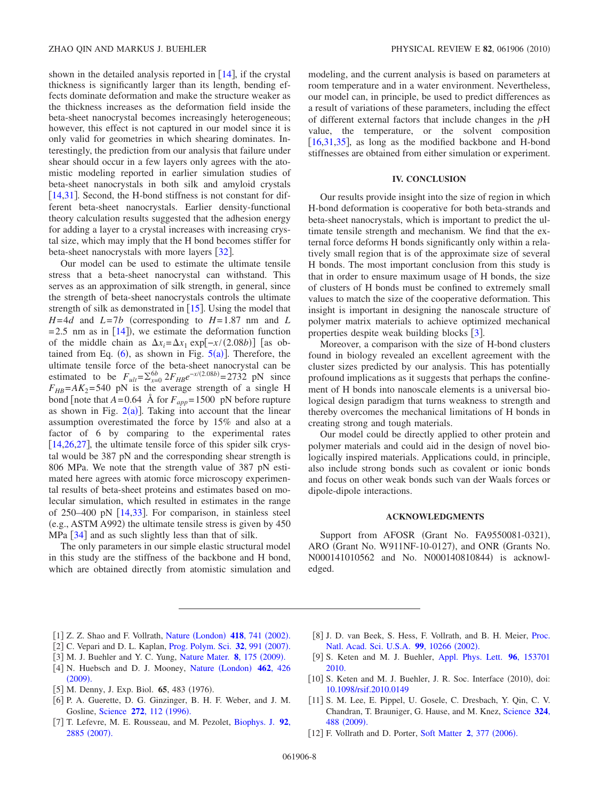shown in the detailed analysis reported in  $[14]$  $[14]$  $[14]$ , if the crystal thickness is significantly larger than its length, bending effects dominate deformation and make the structure weaker as the thickness increases as the deformation field inside the beta-sheet nanocrystal becomes increasingly heterogeneous; however, this effect is not captured in our model since it is only valid for geometries in which shearing dominates. Interestingly, the prediction from our analysis that failure under shear should occur in a few layers only agrees with the atomistic modeling reported in earlier simulation studies of beta-sheet nanocrystals in both silk and amyloid crystals [[14](#page-8-1)[,31](#page-8-17)]. Second, the H-bond stiffness is not constant for different beta-sheet nanocrystals. Earlier density-functional theory calculation results suggested that the adhesion energy for adding a layer to a crystal increases with increasing crystal size, which may imply that the H bond becomes stiffer for beta-sheet nanocrystals with more layers  $\lceil 32 \rceil$  $\lceil 32 \rceil$  $\lceil 32 \rceil$ .

Our model can be used to estimate the ultimate tensile stress that a beta-sheet nanocrystal can withstand. This serves as an approximation of silk strength, in general, since the strength of beta-sheet nanocrystals controls the ultimate strength of silk as demonstrated in  $\lceil 15 \rceil$  $\lceil 15 \rceil$  $\lceil 15 \rceil$ . Using the model that  $H=4d$  and  $L=7b$  (corresponding to  $H=1.87$  nm and  $L=$  $=$  2.5 nm as in  $[14]$  $[14]$  $[14]$ , we estimate the deformation function of the middle chain as  $\Delta x_i = \Delta x_1 \exp[-x/(2.08b)]$  [as obtained from Eq.  $(6)$  $(6)$  $(6)$ , as shown in Fig.  $5(a)$  $5(a)$ ]. Therefore, the ultimate tensile force of the beta-sheet nanocrystal can be estimated to be  $F_{ult} = \sum_{x=0}^{6b} 2F_{HB}e^{-x/(2.08b)} = 2732 \text{ pN} \text{ since}$  $F_{HB} = AK_2 = 540$  pN is the average strength of a single H bond [note that  $A = 0.64$  Å for  $F_{app} = 1500$  pN before rupture as shown in Fig.  $2(a)$  $2(a)$ ]. Taking into account that the linear assumption overestimated the force by 15% and also at a factor of 6 by comparing to the experimental rates  $[14,26,27]$  $[14,26,27]$  $[14,26,27]$  $[14,26,27]$  $[14,26,27]$ , the ultimate tensile force of this spider silk crystal would be 387 pN and the corresponding shear strength is 806 MPa. We note that the strength value of 387 pN estimated here agrees with atomic force microscopy experimental results of beta-sheet proteins and estimates based on molecular simulation, which resulted in estimates in the range of 250–400 pN  $[14,33]$  $[14,33]$  $[14,33]$  $[14,33]$ . For comparison, in stainless steel (e.g., ASTM A992) the ultimate tensile stress is given by 450 MPa  $\left[34\right]$  $\left[34\right]$  $\left[34\right]$  and as such slightly less than that of silk.

The only parameters in our simple elastic structural model in this study are the stiffness of the backbone and H bond, which are obtained directly from atomistic simulation and modeling, and the current analysis is based on parameters at room temperature and in a water environment. Nevertheless, our model can, in principle, be used to predict differences as a result of variations of these parameters, including the effect of different external factors that include changes in the *p*H value, the temperature, or the solvent composition [[16,](#page-8-2)[31,](#page-8-17)[35](#page-8-21)], as long as the modified backbone and H-bond stiffnesses are obtained from either simulation or experiment.

## **IV. CONCLUSION**

Our results provide insight into the size of region in which H-bond deformation is cooperative for both beta-strands and beta-sheet nanocrystals, which is important to predict the ultimate tensile strength and mechanism. We find that the external force deforms H bonds significantly only within a relatively small region that is of the approximate size of several H bonds. The most important conclusion from this study is that in order to ensure maximum usage of H bonds, the size of clusters of H bonds must be confined to extremely small values to match the size of the cooperative deformation. This insight is important in designing the nanoscale structure of polymer matrix materials to achieve optimized mechanical properties despite weak building blocks  $\lceil 3 \rceil$  $\lceil 3 \rceil$  $\lceil 3 \rceil$ .

Moreover, a comparison with the size of H-bond clusters found in biology revealed an excellent agreement with the cluster sizes predicted by our analysis. This has potentially profound implications as it suggests that perhaps the confinement of H bonds into nanoscale elements is a universal biological design paradigm that turns weakness to strength and thereby overcomes the mechanical limitations of H bonds in creating strong and tough materials.

Our model could be directly applied to other protein and polymer materials and could aid in the design of novel biologically inspired materials. Applications could, in principle, also include strong bonds such as covalent or ionic bonds and focus on other weak bonds such van der Waals forces or dipole-dipole interactions.

# **ACKNOWLEDGMENTS**

Support from AFOSR (Grant No. FA9550081-0321), ARO (Grant No. W911NF-10-0127), and ONR (Grants No. N000141010562 and No. N000140810844) is acknowledged.

- <span id="page-7-0"></span>[1] Z. Z. Shao and F. Vollrath, Nature ([London](http://dx.doi.org/10.1038/418741a)) 418, 741 (2002).
- <span id="page-7-2"></span>[2] C. Vepari and D. L. Kaplan, [Prog. Polym. Sci.](http://dx.doi.org/10.1016/j.progpolymsci.2007.05.013) 32, 991 (2007).
- <span id="page-7-1"></span>[3] M. J. Buehler and Y. C. Yung, [Nature Mater.](http://dx.doi.org/10.1038/nmat2387) 8, 175 (2009).
- <span id="page-7-3"></span>[4] N. Huebsch and D. J. Mooney, Nature ([London](http://dx.doi.org/10.1038/nature08601)) **462**, 426  $(2009).$  $(2009).$  $(2009).$
- <span id="page-7-4"></span>[5] M. Denny, J. Exp. Biol. **65**, 483 (1976).
- <span id="page-7-5"></span>[6] P. A. Guerette, D. G. Ginzinger, B. H. F. Weber, and J. M. Gosline, [Science](http://dx.doi.org/10.1126/science.272.5258.112) 272, 112 (1996).
- <span id="page-7-6"></span>7 T. Lefevre, M. E. Rousseau, and M. Pezolet, [Biophys. J.](http://dx.doi.org/10.1529/biophysj.106.100339) **92**, [2885](http://dx.doi.org/10.1529/biophysj.106.100339) (2007).
- <span id="page-7-8"></span>[8] J. D. van Beek, S. Hess, F. Vollrath, and B. H. Meier, [Proc.](http://dx.doi.org/10.1073/pnas.152162299) [Natl. Acad. Sci. U.S.A.](http://dx.doi.org/10.1073/pnas.152162299) 99, 10266 (2002).
- <span id="page-7-7"></span>9 S. Keten and M. J. Buehler, [Appl. Phys. Lett.](http://dx.doi.org/10.1063/1.3385388) **96**, 153701 [2010.](http://dx.doi.org/10.1063/1.3385388)
- <span id="page-7-9"></span>[10] S. Keten and M. J. Buehler, J. R. Soc. Interface (2010), doi: [10.1098/rsif.2010.0149](http://dx.doi.org/10.1098/rsif.2010.0149)
- [11] S. M. Lee, E. Pippel, U. Gosele, C. Dresbach, Y. Qin, C. V. Chandran, T. Brauniger, G. Hause, and M. Knez, [Science](http://dx.doi.org/10.1126/science.1168162) **324**, 488 ([2009](http://dx.doi.org/10.1126/science.1168162)).
- [12] F. Vollrath and D. Porter, [Soft Matter](http://dx.doi.org/10.1039/b600098n) 2, 377 (2006).